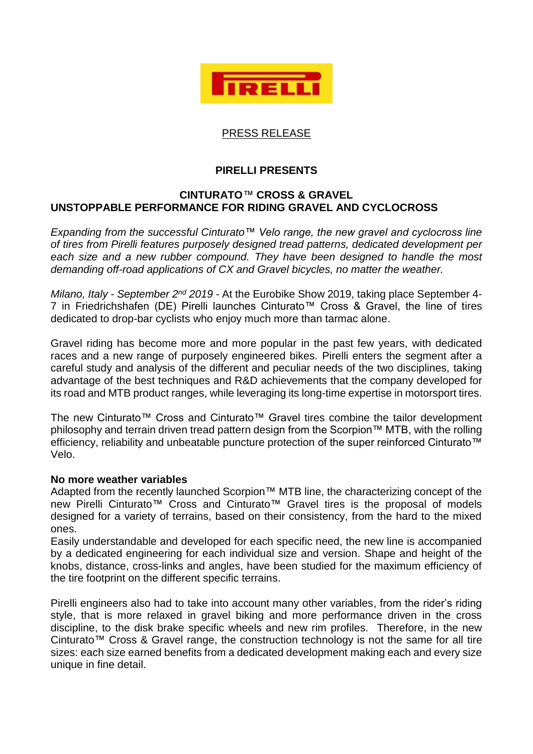

# PRESS RELEASE

# **PIRELLI PRESENTS**

## **CINTURATO***™* **CROSS & GRAVEL UNSTOPPABLE PERFORMANCE FOR RIDING GRAVEL AND CYCLOCROSS**

*Expanding from the successful Cinturato™ Velo range, the new gravel and cyclocross line of tires from Pirelli features purposely designed tread patterns, dedicated development per each size and a new rubber compound. They have been designed to handle the most demanding off-road applications of CX and Gravel bicycles, no matter the weather.*

*Milano, Italy - September 2nd 2019 -* At the Eurobike Show 2019, taking place September 4- 7 in Friedrichshafen (DE) Pirelli launches Cinturato™ Cross & Gravel, the line of tires dedicated to drop-bar cyclists who enjoy much more than tarmac alone.

Gravel riding has become more and more popular in the past few years, with dedicated races and a new range of purposely engineered bikes. Pirelli enters the segment after a careful study and analysis of the different and peculiar needs of the two disciplines, taking advantage of the best techniques and R&D achievements that the company developed for its road and MTB product ranges, while leveraging its long-time expertise in motorsport tires.

The new Cinturato™ Cross and Cinturato™ Gravel tires combine the tailor development philosophy and terrain driven tread pattern design from the Scorpion™ MTB, with the rolling efficiency, reliability and unbeatable puncture protection of the super reinforced Cinturato™ Velo.

#### **No more weather variables**

Adapted from the recently launched Scorpion™ MTB line, the characterizing concept of the new Pirelli Cinturato™ Cross and Cinturato™ Gravel tires is the proposal of models designed for a variety of terrains, based on their consistency, from the hard to the mixed ones.

Easily understandable and developed for each specific need, the new line is accompanied by a dedicated engineering for each individual size and version. Shape and height of the knobs, distance, cross-links and angles, have been studied for the maximum efficiency of the tire footprint on the different specific terrains.

Pirelli engineers also had to take into account many other variables, from the rider's riding style, that is more relaxed in gravel biking and more performance driven in the cross discipline, to the disk brake specific wheels and new rim profiles. Therefore, in the new Cinturato™ Cross & Gravel range, the construction technology is not the same for all tire sizes: each size earned benefits from a dedicated development making each and every size unique in fine detail.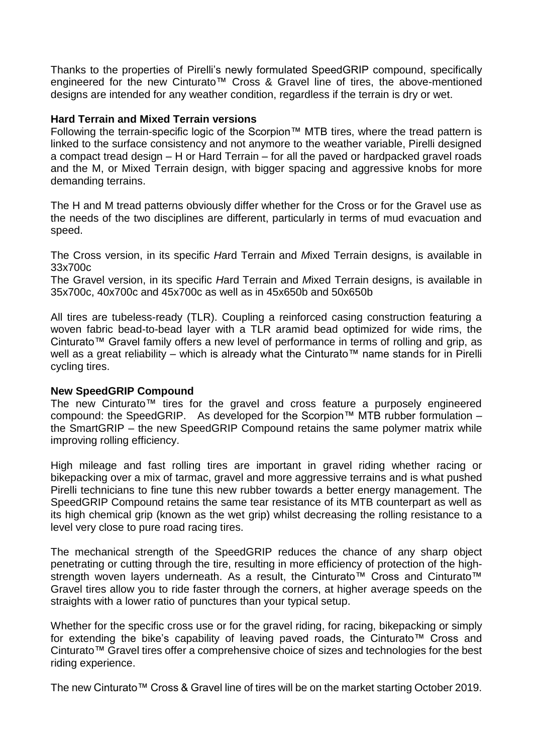Thanks to the properties of Pirelli's newly formulated SpeedGRIP compound, specifically engineered for the new Cinturato™ Cross & Gravel line of tires, the above-mentioned designs are intended for any weather condition, regardless if the terrain is dry or wet.

### **Hard Terrain and Mixed Terrain versions**

Following the terrain-specific logic of the Scorpion™ MTB tires, where the tread pattern is linked to the surface consistency and not anymore to the weather variable, Pirelli designed a compact tread design – H or Hard Terrain – for all the paved or hardpacked gravel roads and the M, or Mixed Terrain design, with bigger spacing and aggressive knobs for more demanding terrains.

The H and M tread patterns obviously differ whether for the Cross or for the Gravel use as the needs of the two disciplines are different, particularly in terms of mud evacuation and speed.

The Cross version, in its specific *H*ard Terrain and *M*ixed Terrain designs, is available in 33x700c

The Gravel version, in its specific *H*ard Terrain and *M*ixed Terrain designs, is available in 35x700c, 40x700c and 45x700c as well as in 45x650b and 50x650b

All tires are tubeless-ready (TLR). Coupling a reinforced casing construction featuring a woven fabric bead-to-bead layer with a TLR aramid bead optimized for wide rims, the Cinturato™ Gravel family offers a new level of performance in terms of rolling and grip, as well as a great reliability – which is already what the Cinturato™ name stands for in Pirelli cycling tires.

## **New SpeedGRIP Compound**

The new Cinturato™ tires for the gravel and cross feature a purposely engineered compound: the SpeedGRIP. As developed for the Scorpion™ MTB rubber formulation – the SmartGRIP – the new SpeedGRIP Compound retains the same polymer matrix while improving rolling efficiency.

High mileage and fast rolling tires are important in gravel riding whether racing or bikepacking over a mix of tarmac, gravel and more aggressive terrains and is what pushed Pirelli technicians to fine tune this new rubber towards a better energy management. The SpeedGRIP Compound retains the same tear resistance of its MTB counterpart as well as its high chemical grip (known as the wet grip) whilst decreasing the rolling resistance to a level very close to pure road racing tires.

The mechanical strength of the SpeedGRIP reduces the chance of any sharp object penetrating or cutting through the tire, resulting in more efficiency of protection of the highstrength woven layers underneath. As a result, the Cinturato™ Cross and Cinturato™ Gravel tires allow you to ride faster through the corners, at higher average speeds on the straights with a lower ratio of punctures than your typical setup.

Whether for the specific cross use or for the gravel riding, for racing, bikepacking or simply for extending the bike's capability of leaving paved roads, the Cinturato™ Cross and Cinturato™ Gravel tires offer a comprehensive choice of sizes and technologies for the best riding experience.

The new Cinturato™ Cross & Gravel line of tires will be on the market starting October 2019.